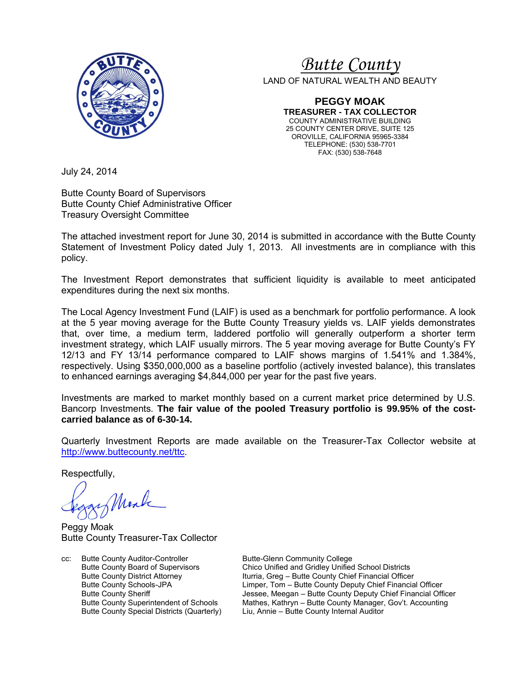

# *<sup>U</sup>Butte County*

LAND OF NATURAL WEALTH AND BEAUTY

**PEGGY MOAK TREASURER - TAX COLLECTOR** COUNTY ADMINISTRATIVE BUILDING 25 COUNTY CENTER DRIVE, SUITE 125 OROVILLE, CALIFORNIA 95965-3384 TELEPHONE: (530) 538-7701 FAX: (530) 538-7648

July 24, 2014

Butte County Board of Supervisors Butte County Chief Administrative Officer Treasury Oversight Committee

The attached investment report for June 30, 2014 is submitted in accordance with the Butte County Statement of Investment Policy dated July 1, 2013. All investments are in compliance with this policy.

The Investment Report demonstrates that sufficient liquidity is available to meet anticipated expenditures during the next six months.

The Local Agency Investment Fund (LAIF) is used as a benchmark for portfolio performance. A look at the 5 year moving average for the Butte County Treasury yields vs. LAIF yields demonstrates that, over time, a medium term, laddered portfolio will generally outperform a shorter term investment strategy, which LAIF usually mirrors. The 5 year moving average for Butte County's FY 12/13 and FY 13/14 performance compared to LAIF shows margins of 1.541% and 1.384%, respectively. Using \$350,000,000 as a baseline portfolio (actively invested balance), this translates to enhanced earnings averaging \$4,844,000 per year for the past five years.

Investments are marked to market monthly based on a current market price determined by U.S. Bancorp Investments. **The fair value of the pooled Treasury portfolio is 99.95% of the costcarried balance as of 6-30-14.** 

Quarterly Investment Reports are made available on the Treasurer-Tax Collector website at <http://www.buttecounty.net/ttc>.

Respectfully,

Mark

Peggy Moak Butte County Treasurer-Tax Collector

cc: Butte County Auditor-Controller Butte-Glenn Community College<br>Butte County Board of Supervisors Chico Unified and Gridley Unified

Butte County Board of Supervisors Chico Unified and Gridley Unified School Districts Butte County District Attorney **Iturria, Greg – Butte County Chief Financial Officer**<br>Butte County Schools-JPA **Internancial County County Chief Financia** Butte County Schools-JPA Limper, Tom – Butte County Deputy Chief Financial Officer<br>Butte County Sheriff **Deputy Chief Financial Officer**<br>Jessee, Meegan – Butte County Deputy Chief Financial Officer Butte County Sheriff **The County Sheriff County Sheriff Lessee**, Meegan – Butte County Deputy Chief Financial Officer<br>Butte County Superintendent of Schools Mathes, Kathryn – Butte County Manager, Gov't. Accounting Mathes, Kathryn – Butte County Manager, Gov't. Accounting Butte County Special Districts (Quarterly) Liu, Annie – Butte County Internal Auditor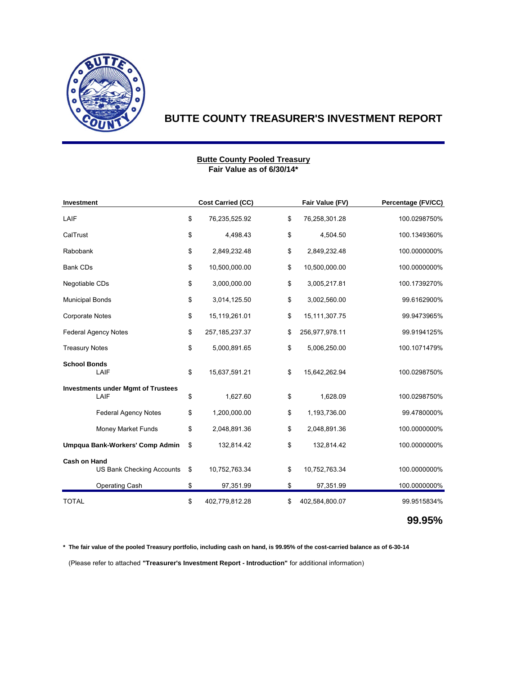

#### **Fair Value as of 6/30/14\* Butte County Pooled Treasury**

| Investment                                              |    | <b>Cost Carried (CC)</b> | Fair Value (FV)      | Percentage (FV/CC) |  |
|---------------------------------------------------------|----|--------------------------|----------------------|--------------------|--|
| LAIF                                                    | \$ | 76,235,525.92            | \$<br>76,258,301.28  | 100.0298750%       |  |
| CalTrust                                                |    | 4,498.43                 | \$<br>4,504.50       | 100.1349360%       |  |
| Rabobank                                                | \$ | 2,849,232.48             | \$<br>2,849,232.48   | 100.0000000%       |  |
| <b>Bank CDs</b>                                         | \$ | 10,500,000.00            | \$<br>10,500,000.00  | 100.0000000%       |  |
| Negotiable CDs                                          | \$ | 3,000,000.00             | \$<br>3,005,217.81   | 100.1739270%       |  |
| <b>Municipal Bonds</b>                                  | \$ | 3,014,125.50             | \$<br>3,002,560.00   | 99.6162900%        |  |
| Corporate Notes                                         | \$ | 15,119,261.01            | \$<br>15,111,307.75  | 99.9473965%        |  |
| <b>Federal Agency Notes</b>                             |    | 257, 185, 237. 37        | \$<br>256,977,978.11 | 99.9194125%        |  |
| <b>Treasury Notes</b>                                   |    | 5,000,891.65             | \$<br>5,006,250.00   | 100.1071479%       |  |
| <b>School Bonds</b><br>LAIF                             | \$ | 15,637,591.21            | \$<br>15,642,262.94  | 100.0298750%       |  |
| <b>Investments under Mgmt of Trustees</b><br>LAIF       | \$ | 1,627.60                 | \$<br>1,628.09       | 100.0298750%       |  |
| <b>Federal Agency Notes</b>                             | \$ | 1,200,000.00             | \$<br>1,193,736.00   | 99.4780000%        |  |
| <b>Money Market Funds</b>                               | \$ | 2,048,891.36             | \$<br>2,048,891.36   | 100.0000000%       |  |
| Umpqua Bank-Workers' Comp Admin                         | \$ | 132,814.42               | \$<br>132,814.42     | 100.0000000%       |  |
| <b>Cash on Hand</b><br><b>US Bank Checking Accounts</b> | \$ | 10,752,763.34            | \$<br>10,752,763.34  | 100.0000000%       |  |
| Operating Cash                                          | \$ | 97,351.99                | \$<br>97,351.99      | 100.0000000%       |  |
| <b>TOTAL</b>                                            | \$ | 402,779,812.28           | \$<br>402,584,800.07 | 99.9515834%        |  |

**99.95%**

**\* The fair value of the pooled Treasury portfolio, including cash on hand, is 99.95% of the cost-carried balance as of 6-30-14**

(Please refer to attached **"Treasurer's Investment Report - Introduction"** for additional information)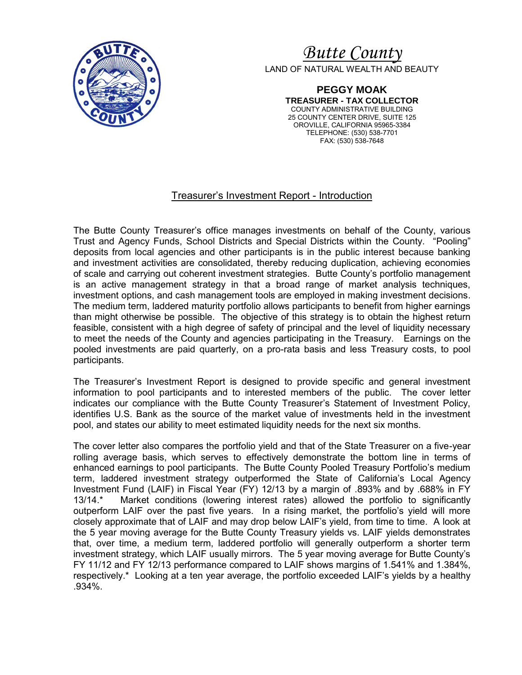

# *Butte County* LAND OF NATURAL WEALTH AND BEAUTY

**PEGGY MOAK TREASURER - TAX COLLECTOR** COUNTY ADMINISTRATIVE BUILDING 25 COUNTY CENTER DRIVE, SUITE 125 OROVILLE, CALIFORNIA 95965-3384 TELEPHONE: (530) 538-7701 FAX: (530) 538-7648

## Treasurer's Investment Report - Introduction

The Butte County Treasurer's office manages investments on behalf of the County, various Trust and Agency Funds, School Districts and Special Districts within the County. "Pooling" deposits from local agencies and other participants is in the public interest because banking and investment activities are consolidated, thereby reducing duplication, achieving economies of scale and carrying out coherent investment strategies. Butte County's portfolio management is an active management strategy in that a broad range of market analysis techniques, investment options, and cash management tools are employed in making investment decisions. The medium term, laddered maturity portfolio allows participants to benefit from higher earnings than might otherwise be possible. The objective of this strategy is to obtain the highest return feasible, consistent with a high degree of safety of principal and the level of liquidity necessary to meet the needs of the County and agencies participating in the Treasury. Earnings on the pooled investments are paid quarterly, on a pro-rata basis and less Treasury costs, to pool participants.

The Treasurer's Investment Report is designed to provide specific and general investment information to pool participants and to interested members of the public. The cover letter indicates our compliance with the Butte County Treasurer's Statement of Investment Policy, identifies U.S. Bank as the source of the market value of investments held in the investment pool, and states our ability to meet estimated liquidity needs for the next six months.

The cover letter also compares the portfolio yield and that of the State Treasurer on a five-year rolling average basis, which serves to effectively demonstrate the bottom line in terms of enhanced earnings to pool participants. The Butte County Pooled Treasury Portfolio's medium term, laddered investment strategy outperformed the State of California's Local Agency Investment Fund (LAIF) in Fiscal Year (FY) 12/13 by a margin of .893% and by .688% in FY 13/14.\* Market conditions (lowering interest rates) allowed the portfolio to significantly outperform LAIF over the past five years. In a rising market, the portfolio's yield will more closely approximate that of LAIF and may drop below LAIF's yield, from time to time. A look at the 5 year moving average for the Butte County Treasury yields vs. LAIF yields demonstrates that, over time, a medium term, laddered portfolio will generally outperform a shorter term investment strategy, which LAIF usually mirrors. The 5 year moving average for Butte County's FY 11/12 and FY 12/13 performance compared to LAIF shows margins of 1.541% and 1.384%, respectively.\* Looking at a ten year average, the portfolio exceeded LAIF's yields by a healthy .934%.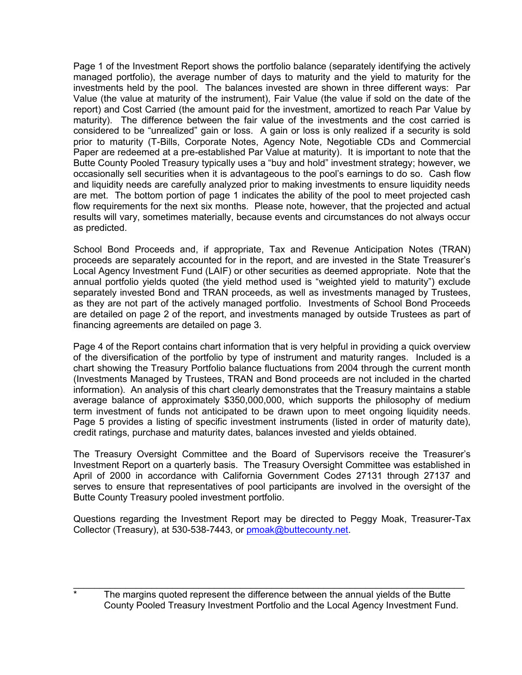Page 1 of the Investment Report shows the portfolio balance (separately identifying the actively managed portfolio), the average number of days to maturity and the yield to maturity for the investments held by the pool. The balances invested are shown in three different ways: Par Value (the value at maturity of the instrument), Fair Value (the value if sold on the date of the report) and Cost Carried (the amount paid for the investment, amortized to reach Par Value by maturity). The difference between the fair value of the investments and the cost carried is considered to be "unrealized" gain or loss. A gain or loss is only realized if a security is sold prior to maturity (T-Bills, Corporate Notes, Agency Note, Negotiable CDs and Commercial Paper are redeemed at a pre-established Par Value at maturity). It is important to note that the Butte County Pooled Treasury typically uses a "buy and hold" investment strategy; however, we occasionally sell securities when it is advantageous to the pool's earnings to do so. Cash flow and liquidity needs are carefully analyzed prior to making investments to ensure liquidity needs are met. The bottom portion of page 1 indicates the ability of the pool to meet projected cash flow requirements for the next six months. Please note, however, that the projected and actual results will vary, sometimes materially, because events and circumstances do not always occur as predicted.

School Bond Proceeds and, if appropriate, Tax and Revenue Anticipation Notes (TRAN) proceeds are separately accounted for in the report, and are invested in the State Treasurer's Local Agency Investment Fund (LAIF) or other securities as deemed appropriate. Note that the annual portfolio yields quoted (the yield method used is "weighted yield to maturity") exclude separately invested Bond and TRAN proceeds, as well as investments managed by Trustees, as they are not part of the actively managed portfolio. Investments of School Bond Proceeds are detailed on page 2 of the report, and investments managed by outside Trustees as part of financing agreements are detailed on page 3.

Page 4 of the Report contains chart information that is very helpful in providing a quick overview of the diversification of the portfolio by type of instrument and maturity ranges. Included is a chart showing the Treasury Portfolio balance fluctuations from 2004 through the current month (Investments Managed by Trustees, TRAN and Bond proceeds are not included in the charted information). An analysis of this chart clearly demonstrates that the Treasury maintains a stable average balance of approximately \$350,000,000, which supports the philosophy of medium term investment of funds not anticipated to be drawn upon to meet ongoing liquidity needs. Page 5 provides a listing of specific investment instruments (listed in order of maturity date), credit ratings, purchase and maturity dates, balances invested and yields obtained.

The Treasury Oversight Committee and the Board of Supervisors receive the Treasurer's Investment Report on a quarterly basis. The Treasury Oversight Committee was established in April of 2000 in accordance with California Government Codes 27131 through 27137 and serves to ensure that representatives of pool participants are involved in the oversight of the Butte County Treasury pooled investment portfolio.

Questions regarding the Investment Report may be directed to Peggy Moak, Treasurer-Tax Collector (Treasury), at 530-538-7443, or [pmoak@buttecounty.net.](mailto:pmoak@buttecounty.net)

\_\_\_\_\_\_\_\_\_\_\_\_\_\_\_\_\_\_\_\_\_\_\_\_\_\_\_\_\_\_\_\_\_\_\_\_\_\_\_\_\_\_\_\_\_\_\_\_\_\_\_\_\_\_\_\_\_\_\_\_\_\_\_\_\_\_\_\_\_\_\_\_\_\_\_ The margins quoted represent the difference between the annual yields of the Butte County Pooled Treasury Investment Portfolio and the Local Agency Investment Fund.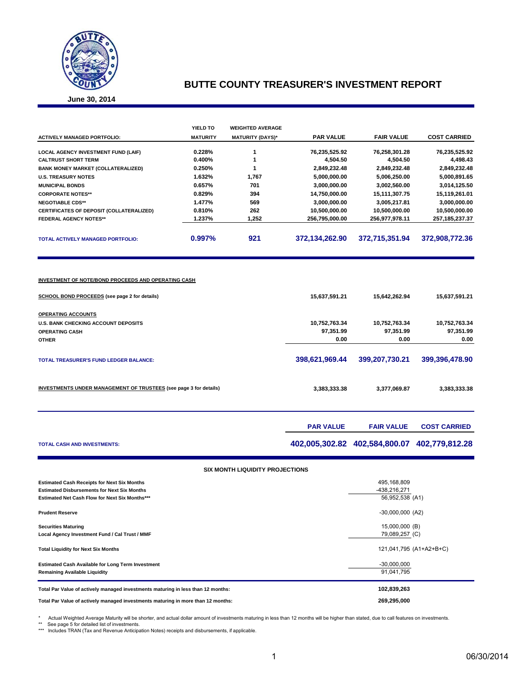

**June 30, 2014**

|                                            | YIELD TO        | <b>WEIGHTED AVERAGE</b> |                  |                   |                     |
|--------------------------------------------|-----------------|-------------------------|------------------|-------------------|---------------------|
| <b>ACTIVELY MANAGED PORTFOLIO:</b>         | <b>MATURITY</b> | <b>MATURITY (DAYS)*</b> | <b>PAR VALUE</b> | <b>FAIR VALUE</b> | <b>COST CARRIED</b> |
| <b>LOCAL AGENCY INVESTMENT FUND (LAIF)</b> | 0.228%          |                         | 76,235,525.92    | 76,258,301.28     | 76,235,525.92       |
| <b>CALTRUST SHORT TERM</b>                 | $0.400\%$       |                         | 4,504.50         | 4,504.50          | 4,498.43            |
| <b>BANK MONEY MARKET (COLLATERALIZED)</b>  | 0.250%          |                         | 2,849,232.48     | 2,849,232.48      | 2,849,232.48        |
| <b>U.S. TREASURY NOTES</b>                 | 1.632%          | 1,767                   | 5,000,000.00     | 5,006,250.00      | 5,000,891.65        |
| <b>MUNICIPAL BONDS</b>                     | 0.657%          | 701                     | 3,000,000.00     | 3,002,560.00      | 3,014,125.50        |
| <b>CORPORATE NOTES**</b>                   | 0.829%          | 394                     | 14,750,000.00    | 15,111,307.75     | 15,119,261.01       |
| <b>NEGOTIABLE CDS**</b>                    | 1.477%          | 569                     | 3,000,000.00     | 3,005,217.81      | 3,000,000.00        |
| CERTIFICATES OF DEPOSIT (COLLATERALIZED)   | 0.810%          | 262                     | 10,500,000.00    | 10,500,000.00     | 10,500,000.00       |
| <b>FEDERAL AGENCY NOTES**</b>              | 1.237%          | 1,252                   | 256,795,000.00   | 256,977,978.11    | 257, 185, 237. 37   |
| <b>TOTAL ACTIVELY MANAGED PORTFOLIO:</b>   | 0.997%          | 921                     | 372,134,262.90   | 372,715,351.94    | 372,908,772.36      |
|                                            |                 |                         |                  |                   |                     |

#### **INVESTMENT OF NOTE/BOND PROCEEDS AND OPERATING CASH**

| SCHOOL BOND PROCEEDS (see page 2 for details)                            | 15,637,591.21  | 15,642,262.94  | 15,637,591.21  |
|--------------------------------------------------------------------------|----------------|----------------|----------------|
| <b>OPERATING ACCOUNTS</b>                                                |                |                |                |
| <b>U.S. BANK CHECKING ACCOUNT DEPOSITS</b>                               | 10,752,763.34  | 10,752,763.34  | 10,752,763.34  |
| <b>OPERATING CASH</b>                                                    | 97,351.99      | 97,351.99      | 97,351.99      |
| <b>OTHER</b>                                                             | 0.00           | 0.00           | 0.00           |
| <b>TOTAL TREASURER'S FUND LEDGER BALANCE:</b>                            | 398,621,969.44 | 399,207,730.21 | 399,396,478.90 |
| <b>INVESTMENTS UNDER MANAGEMENT OF TRUSTEES (see page 3 for details)</b> | 3,383,333.38   | 3,377,069.87   | 3,383,333.38   |

|                                    | <b>PAR VALUE</b> | <b>FAIR VALUE</b>                            | <b>COST CARRIED</b> |
|------------------------------------|------------------|----------------------------------------------|---------------------|
| <b>TOTAL CASH AND INVESTMENTS:</b> |                  | 402,005,302.82 402,584,800.07 402,779,812.28 |                     |

| <b>SIX MONTH LIQUIDITY PROJECTIONS</b>                                                                   |                             |
|----------------------------------------------------------------------------------------------------------|-----------------------------|
| <b>Estimated Cash Receipts for Next Six Months</b><br><b>Estimated Disbursements for Next Six Months</b> | 495,168,809<br>-438,216,271 |
| <b>Estimated Net Cash Flow for Next Six Months***</b>                                                    | 56,952,538 (A1)             |
| <b>Prudent Reserve</b>                                                                                   | $-30,000,000$ (A2)          |
| <b>Securities Maturing</b>                                                                               | 15,000,000 (B)              |
| Local Agency Investment Fund / Cal Trust / MMF                                                           | 79,089,257 (C)              |
| <b>Total Liquidity for Next Six Months</b>                                                               | 121,041,795 (A1+A2+B+C)     |
| <b>Estimated Cash Available for Long Term Investment</b>                                                 | $-30,000,000$               |
| <b>Remaining Available Liquidity</b>                                                                     | 91.041.795                  |
| Total Par Value of actively managed investments maturing in less than 12 months:                         | 102,839,263                 |
| Total Par Value of actively managed investments maturing in more than 12 months:                         | 269,295,000                 |

\* Actual Weighted Average Maturity will be shorter, and actual dollar amount of investments maturing in less than 12 months will be higher than stated, due to call features on investments.<br>\*\* See page 5 for detailed list o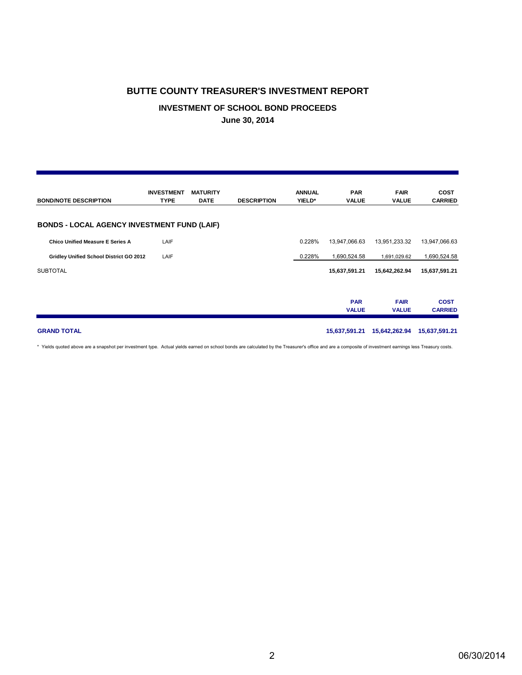#### **INVESTMENT OF SCHOOL BOND PROCEEDS**

**June 30, 2014**

| <b>BOND/NOTE DESCRIPTION</b>                       | <b>INVESTMENT</b><br><b>TYPE</b> | <b>MATURITY</b><br><b>DATE</b> | <b>DESCRIPTION</b> | <b>ANNUAL</b><br>YIELD* | <b>PAR</b><br><b>VALUE</b> | <b>FAIR</b><br><b>VALUE</b> | <b>COST</b><br><b>CARRIED</b> |
|----------------------------------------------------|----------------------------------|--------------------------------|--------------------|-------------------------|----------------------------|-----------------------------|-------------------------------|
| <b>BONDS - LOCAL AGENCY INVESTMENT FUND (LAIF)</b> |                                  |                                |                    |                         |                            |                             |                               |
| <b>Chico Unified Measure E Series A</b>            | LAIF                             |                                |                    | 0.228%                  | 13,947,066.63              | 13,951,233.32               | 13,947,066.63                 |
| Gridley Unified School District GO 2012            | LAIF                             |                                |                    | 0.228%                  | 1,690,524.58               | 1,691,029.62                | 1,690,524.58                  |
| <b>SUBTOTAL</b>                                    |                                  |                                |                    |                         | 15,637,591.21              | 15,642,262.94               | 15,637,591.21                 |
|                                                    |                                  |                                |                    |                         | <b>PAR</b><br><b>VALUE</b> | <b>FAIR</b><br><b>VALUE</b> | <b>COST</b><br><b>CARRIED</b> |
| <b>GRAND TOTAL</b>                                 |                                  |                                |                    |                         | 15,637,591.21              | 15,642,262.94               | 15,637,591.21                 |

\* Yields quoted above are a snapshot per investment type. Actual yields earned on school bonds are calculated by the Treasurer's office and are a composite of investment earnings less Treasury costs.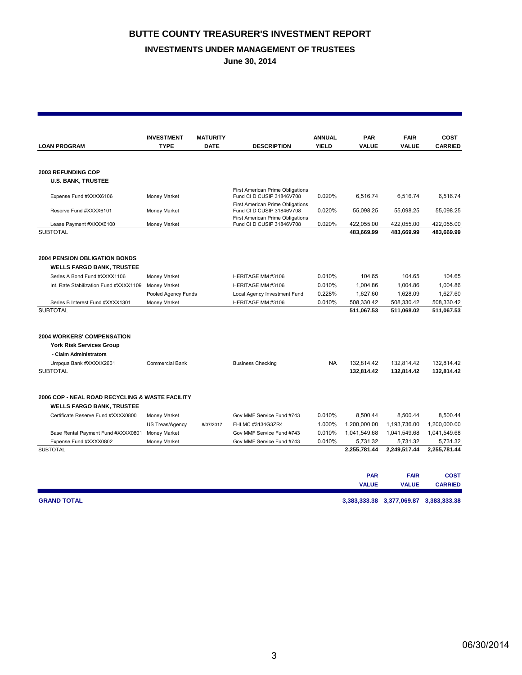#### **INVESTMENTS UNDER MANAGEMENT OF TRUSTEES**

**June 30, 2014**

|                                                                          | <b>INVESTMENT</b>      | <b>MATURITY</b> |                                                               | <b>ANNUAL</b> | <b>PAR</b>   | <b>FAIR</b>                            | COST           |
|--------------------------------------------------------------------------|------------------------|-----------------|---------------------------------------------------------------|---------------|--------------|----------------------------------------|----------------|
| <b>LOAN PROGRAM</b>                                                      | <b>TYPE</b>            | <b>DATE</b>     | <b>DESCRIPTION</b>                                            | <b>YIELD</b>  | VALUE        | <b>VALUE</b>                           | <b>CARRIED</b> |
|                                                                          |                        |                 |                                                               |               |              |                                        |                |
| 2003 REFUNDING COP                                                       |                        |                 |                                                               |               |              |                                        |                |
| <b>U.S. BANK, TRUSTEE</b>                                                |                        |                 |                                                               |               |              |                                        |                |
| Expense Fund #XXXX6106                                                   | Money Market           |                 | First American Prime Obligations<br>Fund CI D CUSIP 31846V708 | 0.020%        | 6,516.74     | 6,516.74                               | 6,516.74       |
| Reserve Fund #XXXX6101                                                   | Money Market           |                 | First American Prime Obligations<br>Fund CI D CUSIP 31846V708 | 0.020%        | 55,098.25    | 55,098.25                              | 55,098.25      |
| Lease Payment #XXXX6100                                                  | Money Market           |                 | First American Prime Obligations<br>Fund CI D CUSIP 31846V708 | 0.020%        | 422,055.00   | 422,055.00                             | 422,055.00     |
| <b>SUBTOTAL</b>                                                          |                        |                 |                                                               |               | 483,669.99   | 483,669.99                             | 483,669.99     |
| <b>2004 PENSION OBLIGATION BONDS</b><br><b>WELLS FARGO BANK, TRUSTEE</b> |                        |                 |                                                               |               |              |                                        |                |
| Series A Bond Fund #XXXX1106                                             | Money Market           |                 | HERITAGE MM #3106                                             | 0.010%        | 104.65       | 104.65                                 | 104.65         |
| Int. Rate Stabilization Fund #XXXX1109                                   | Money Market           |                 | HERITAGE MM #3106                                             | 0.010%        | 1,004.86     | 1,004.86                               | 1,004.86       |
|                                                                          | Pooled Agency Funds    |                 | Local Agency Investment Fund                                  | 0.228%        | 1,627.60     | 1,628.09                               | 1,627.60       |
| Series B Interest Fund #XXXX1301                                         | Money Market           |                 | HERITAGE MM #3106                                             | 0.010%        | 508,330.42   | 508,330.42                             | 508,330.42     |
| <b>SUBTOTAL</b>                                                          |                        |                 |                                                               |               | 511,067.53   | 511,068.02                             | 511,067.53     |
| <b>2004 WORKERS' COMPENSATION</b>                                        |                        |                 |                                                               |               |              |                                        |                |
| <b>York Risk Services Group</b>                                          |                        |                 |                                                               |               |              |                                        |                |
| - Claim Administrators                                                   |                        |                 |                                                               |               |              |                                        |                |
| Umpqua Bank #XXXXX2601                                                   | <b>Commercial Bank</b> |                 | <b>Business Checking</b>                                      | <b>NA</b>     | 132,814.42   | 132,814.42                             | 132,814.42     |
| <b>SUBTOTAL</b>                                                          |                        |                 |                                                               |               | 132,814.42   | 132,814.42                             | 132,814.42     |
| 2006 COP - NEAL ROAD RECYCLING & WASTE FACILITY                          |                        |                 |                                                               |               |              |                                        |                |
| <b>WELLS FARGO BANK, TRUSTEE</b>                                         |                        |                 |                                                               |               |              |                                        |                |
| Certificate Reserve Fund #XXXX0800                                       | Money Market           |                 | Gov MMF Service Fund #743                                     | 0.010%        | 8,500.44     | 8,500.44                               | 8.500.44       |
|                                                                          | US Treas/Agency        | 8/07/2017       | FHLMC #3134G3ZR4                                              | 1.000%        | 1,200,000.00 | 1,193,736.00                           | 1,200,000.00   |
| Base Rental Payment Fund #XXXX0801                                       | Money Market           |                 | Gov MMF Service Fund #743                                     | 0.010%        | 1,041,549.68 | 1,041,549.68                           | 1,041,549.68   |
| Expense Fund #XXXX0802                                                   | Money Market           |                 | Gov MMF Service Fund #743                                     | 0.010%        | 5,731.32     | 5,731.32                               | 5,731.32       |
| <b>SUBTOTAL</b>                                                          |                        |                 |                                                               |               | 2,255,781.44 | 2,249,517.44                           | 2,255,781.44   |
|                                                                          |                        |                 |                                                               |               | <b>PAR</b>   | <b>FAIR</b>                            | <b>COST</b>    |
|                                                                          |                        |                 |                                                               |               | <b>VALUE</b> | <b>VALUE</b>                           | <b>CARRIED</b> |
| <b>GRAND TOTAL</b>                                                       |                        |                 |                                                               |               |              | 3,383,333.38 3,377,069.87 3,383,333.38 |                |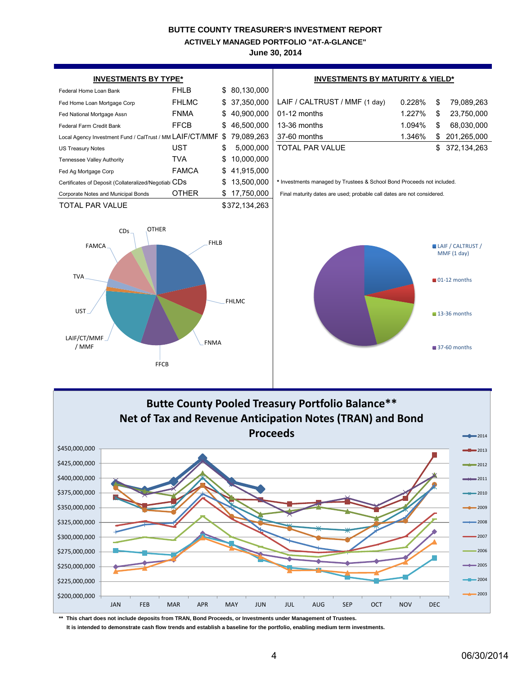**ACTIVELY MANAGED PORTFOLIO "AT-A-GLANCE"**

**June 30, 2014**



**\*\* This chart does not include deposits from TRAN, Bond Proceeds, or Investments under Management of Trustees. It is intended to demonstrate cash flow trends and establish a baseline for the portfolio, enabling medium term investments.**

4 06/30/2014